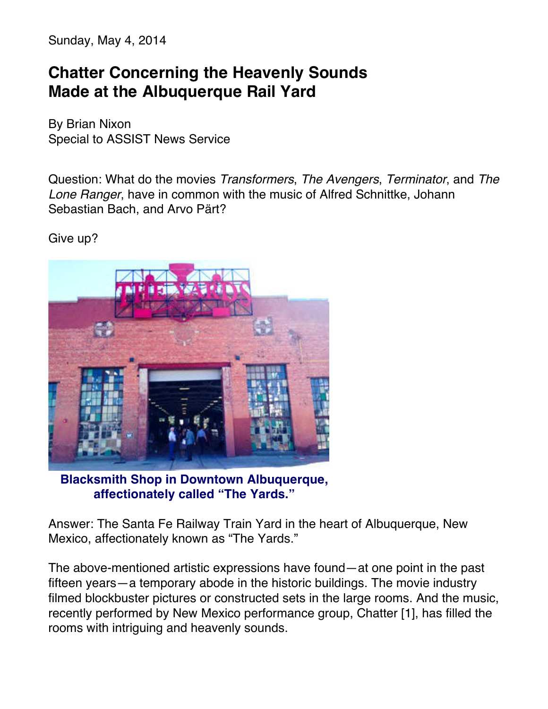Sunday, May 4, 2014

## **Chatter Concerning the Heavenly Sounds Made at the Albuquerque Rail Yard**

By Brian Nixon Special to ASSIST News Service

Question: What do the movies *Transformers*, *The Avengers*, *Terminator*, and *The Lone Ranger*, have in common with the music of Alfred Schnittke, Johann Sebastian Bach, and Arvo Pärt?

Give up?



**Blacksmith Shop in Downtown Albuquerque, affectionately called "The Yards."**

Answer: The Santa Fe Railway Train Yard in the heart of Albuquerque, New Mexico, affectionately known as "The Yards."

The above-mentioned artistic expressions have found—at one point in the past fifteen years—a temporary abode in the historic buildings. The movie industry filmed blockbuster pictures or constructed sets in the large rooms. And the music, recently performed by New Mexico performance group, Chatter [1], has filled the rooms with intriguing and heavenly sounds.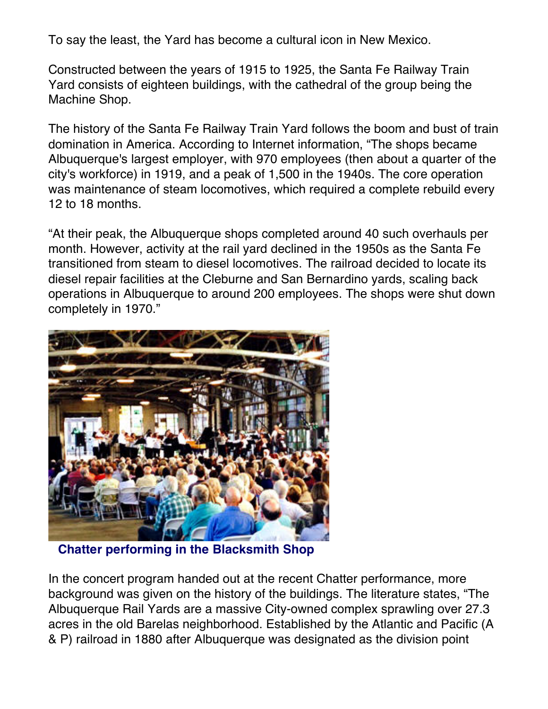To say the least, the Yard has become a cultural icon in New Mexico.

Constructed between the years of 1915 to 1925, the Santa Fe Railway Train Yard consists of eighteen buildings, with the cathedral of the group being the Machine Shop.

The history of the Santa Fe Railway Train Yard follows the boom and bust of train domination in America. According to Internet information, "The shops became Albuquerque's largest employer, with 970 employees (then about a quarter of the city's workforce) in 1919, and a peak of 1,500 in the 1940s. The core operation was maintenance of steam locomotives, which required a complete rebuild every 12 to 18 months.

"At their peak, the Albuquerque shops completed around 40 such overhauls per month. However, activity at the rail yard declined in the 1950s as the Santa Fe transitioned from steam to diesel locomotives. The railroad decided to locate its diesel repair facilities at the Cleburne and San Bernardino yards, scaling back operations in Albuquerque to around 200 employees. The shops were shut down completely in 1970."



**Chatter performing in the Blacksmith Shop**

In the concert program handed out at the recent Chatter performance, more background was given on the history of the buildings. The literature states, "The Albuquerque Rail Yards are a massive City-owned complex sprawling over 27.3 acres in the old Barelas neighborhood. Established by the Atlantic and Pacific (A & P) railroad in 1880 after Albuquerque was designated as the division point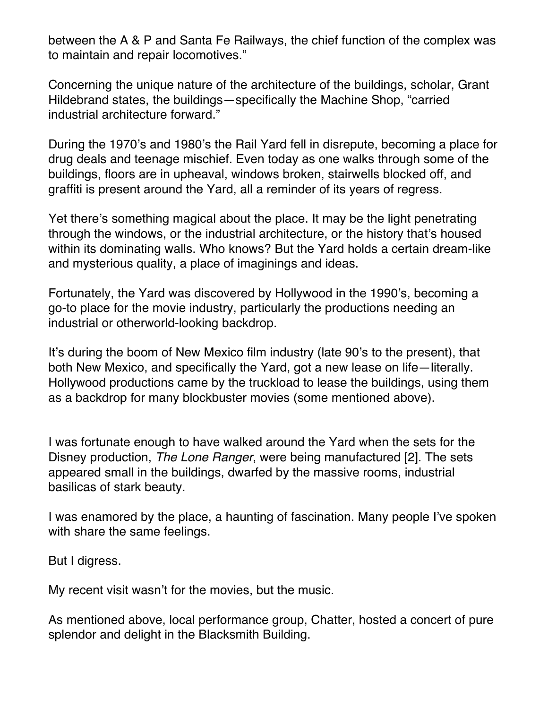between the A & P and Santa Fe Railways, the chief function of the complex was to maintain and repair locomotives."

Concerning the unique nature of the architecture of the buildings, scholar, Grant Hildebrand states, the buildings—specifically the Machine Shop, "carried industrial architecture forward."

During the 1970's and 1980's the Rail Yard fell in disrepute, becoming a place for drug deals and teenage mischief. Even today as one walks through some of the buildings, floors are in upheaval, windows broken, stairwells blocked off, and graffiti is present around the Yard, all a reminder of its years of regress.

Yet there's something magical about the place. It may be the light penetrating through the windows, or the industrial architecture, or the history that's housed within its dominating walls. Who knows? But the Yard holds a certain dream-like and mysterious quality, a place of imaginings and ideas.

Fortunately, the Yard was discovered by Hollywood in the 1990's, becoming a go-to place for the movie industry, particularly the productions needing an industrial or otherworld-looking backdrop.

It's during the boom of New Mexico film industry (late 90's to the present), that both New Mexico, and specifically the Yard, got a new lease on life—literally. Hollywood productions came by the truckload to lease the buildings, using them as a backdrop for many blockbuster movies (some mentioned above).

I was fortunate enough to have walked around the Yard when the sets for the Disney production, *The Lone Ranger*, were being manufactured [2]. The sets appeared small in the buildings, dwarfed by the massive rooms, industrial basilicas of stark beauty.

I was enamored by the place, a haunting of fascination. Many people I've spoken with share the same feelings.

But I digress.

My recent visit wasn't for the movies, but the music.

As mentioned above, local performance group, Chatter, hosted a concert of pure splendor and delight in the Blacksmith Building.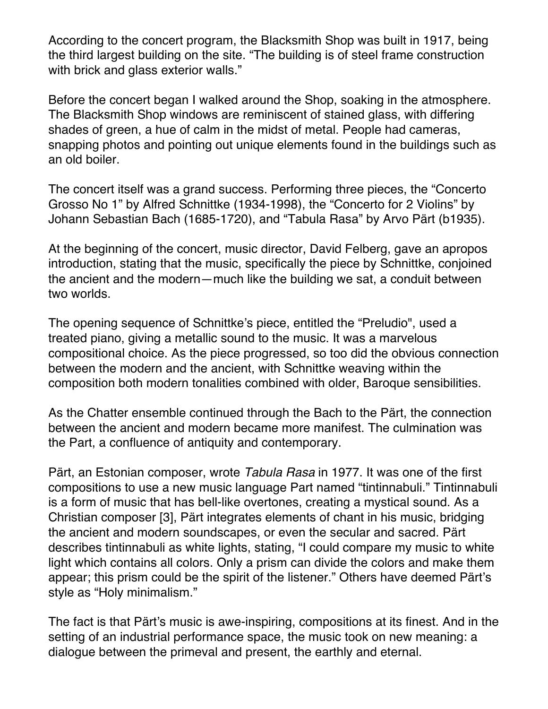According to the concert program, the Blacksmith Shop was built in 1917, being the third largest building on the site. "The building is of steel frame construction with brick and glass exterior walls."

Before the concert began I walked around the Shop, soaking in the atmosphere. The Blacksmith Shop windows are reminiscent of stained glass, with differing shades of green, a hue of calm in the midst of metal. People had cameras, snapping photos and pointing out unique elements found in the buildings such as an old boiler.

The concert itself was a grand success. Performing three pieces, the "Concerto Grosso No 1" by Alfred Schnittke (1934-1998), the "Concerto for 2 Violins" by Johann Sebastian Bach (1685-1720), and "Tabula Rasa" by Arvo Pärt (b1935).

At the beginning of the concert, music director, David Felberg, gave an apropos introduction, stating that the music, specifically the piece by Schnittke, conjoined the ancient and the modern—much like the building we sat, a conduit between two worlds.

The opening sequence of Schnittke's piece, entitled the "Preludio", used a treated piano, giving a metallic sound to the music. It was a marvelous compositional choice. As the piece progressed, so too did the obvious connection between the modern and the ancient, with Schnittke weaving within the composition both modern tonalities combined with older, Baroque sensibilities.

As the Chatter ensemble continued through the Bach to the Pärt, the connection between the ancient and modern became more manifest. The culmination was the Part, a confluence of antiquity and contemporary.

Pärt, an Estonian composer, wrote *Tabula Rasa* in 1977. It was one of the first compositions to use a new music language Part named "tintinnabuli." Tintinnabuli is a form of music that has bell-like overtones, creating a mystical sound. As a Christian composer [3], Pärt integrates elements of chant in his music, bridging the ancient and modern soundscapes, or even the secular and sacred. Pärt describes tintinnabuli as white lights, stating, "I could compare my music to white light which contains all colors. Only a prism can divide the colors and make them appear; this prism could be the spirit of the listener." Others have deemed Pärt's style as "Holy minimalism."

The fact is that Pärt's music is awe-inspiring, compositions at its finest. And in the setting of an industrial performance space, the music took on new meaning: a dialogue between the primeval and present, the earthly and eternal.